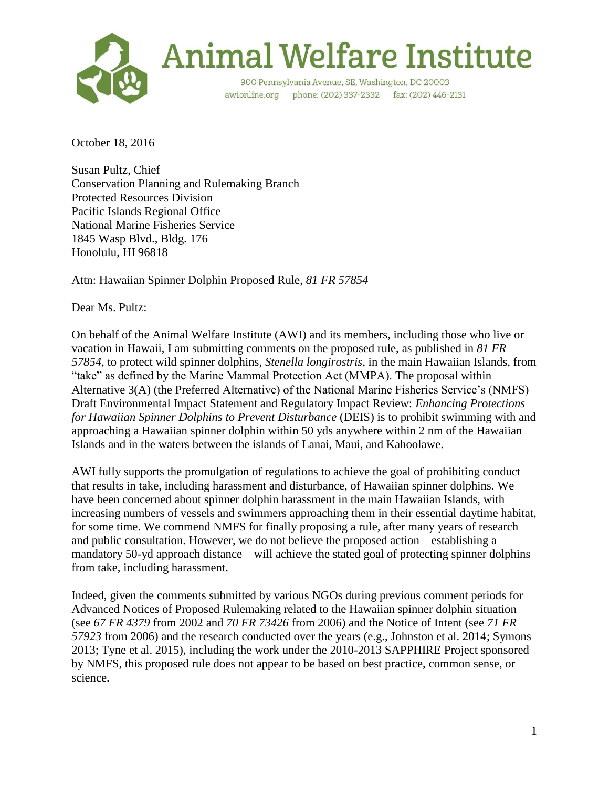

October 18, 2016

Susan Pultz, Chief Conservation Planning and Rulemaking Branch Protected Resources Division Pacific Islands Regional Office National Marine Fisheries Service 1845 Wasp Blvd., Bldg. 176 Honolulu, HI 96818

Attn: Hawaiian Spinner Dolphin Proposed Rule, *81 FR 57854*

Dear Ms. Pultz:

On behalf of the Animal Welfare Institute (AWI) and its members, including those who live or vacation in Hawaii, I am submitting comments on the proposed rule, as published in *81 FR 57854*, to protect wild spinner dolphins, *Stenella longirostris*, in the main Hawaiian Islands, from "take" as defined by the Marine Mammal Protection Act (MMPA). The proposal within Alternative 3(A) (the Preferred Alternative) of the National Marine Fisheries Service's (NMFS) Draft Environmental Impact Statement and Regulatory Impact Review: *Enhancing Protections for Hawaiian Spinner Dolphins to Prevent Disturbance* (DEIS) is to prohibit swimming with and approaching a Hawaiian spinner dolphin within 50 yds anywhere within 2 nm of the Hawaiian Islands and in the waters between the islands of Lanai, Maui, and Kahoolawe.

AWI fully supports the promulgation of regulations to achieve the goal of prohibiting conduct that results in take, including harassment and disturbance, of Hawaiian spinner dolphins. We have been concerned about spinner dolphin harassment in the main Hawaiian Islands, with increasing numbers of vessels and swimmers approaching them in their essential daytime habitat, for some time. We commend NMFS for finally proposing a rule, after many years of research and public consultation. However, we do not believe the proposed action – establishing a mandatory 50-yd approach distance – will achieve the stated goal of protecting spinner dolphins from take, including harassment.

Indeed, given the comments submitted by various NGOs during previous comment periods for Advanced Notices of Proposed Rulemaking related to the Hawaiian spinner dolphin situation (see *67 FR 4379* from 2002 and *70 FR 73426* from 2006) and the Notice of Intent (see *71 FR 57923* from 2006) and the research conducted over the years (e.g., Johnston et al. 2014; Symons 2013; Tyne et al. 2015), including the work under the 2010-2013 SAPPHIRE Project sponsored by NMFS, this proposed rule does not appear to be based on best practice, common sense, or science.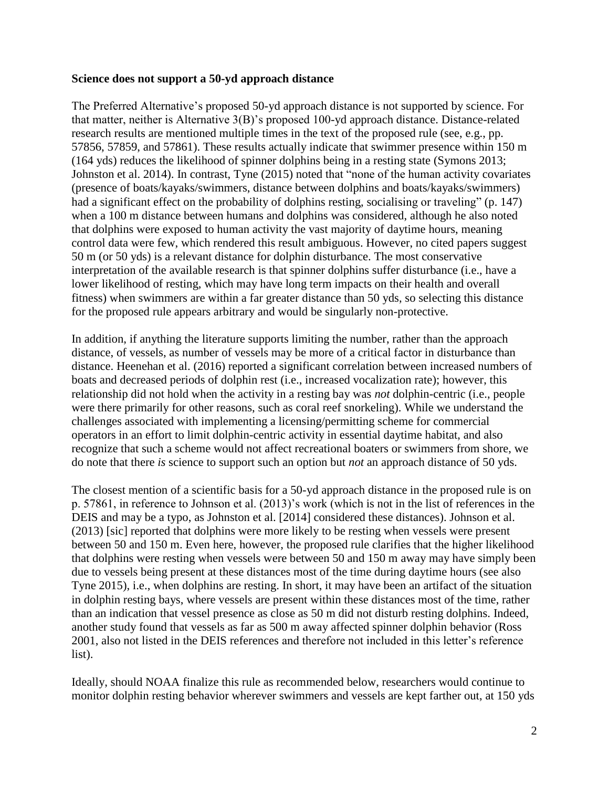## **Science does not support a 50-yd approach distance**

The Preferred Alternative's proposed 50-yd approach distance is not supported by science. For that matter, neither is Alternative 3(B)'s proposed 100-yd approach distance. Distance-related research results are mentioned multiple times in the text of the proposed rule (see, e.g., pp. 57856, 57859, and 57861). These results actually indicate that swimmer presence within 150 m (164 yds) reduces the likelihood of spinner dolphins being in a resting state (Symons 2013; Johnston et al. 2014). In contrast, Tyne (2015) noted that "none of the human activity covariates (presence of boats/kayaks/swimmers, distance between dolphins and boats/kayaks/swimmers) had a significant effect on the probability of dolphins resting, socialising or traveling" (p. 147) when a 100 m distance between humans and dolphins was considered, although he also noted that dolphins were exposed to human activity the vast majority of daytime hours, meaning control data were few, which rendered this result ambiguous. However, no cited papers suggest 50 m (or 50 yds) is a relevant distance for dolphin disturbance. The most conservative interpretation of the available research is that spinner dolphins suffer disturbance (i.e., have a lower likelihood of resting, which may have long term impacts on their health and overall fitness) when swimmers are within a far greater distance than 50 yds, so selecting this distance for the proposed rule appears arbitrary and would be singularly non-protective.

In addition, if anything the literature supports limiting the number, rather than the approach distance, of vessels, as number of vessels may be more of a critical factor in disturbance than distance. Heenehan et al. (2016) reported a significant correlation between increased numbers of boats and decreased periods of dolphin rest (i.e., increased vocalization rate); however, this relationship did not hold when the activity in a resting bay was *not* dolphin-centric (i.e., people were there primarily for other reasons, such as coral reef snorkeling). While we understand the challenges associated with implementing a licensing/permitting scheme for commercial operators in an effort to limit dolphin-centric activity in essential daytime habitat, and also recognize that such a scheme would not affect recreational boaters or swimmers from shore, we do note that there *is* science to support such an option but *not* an approach distance of 50 yds.

The closest mention of a scientific basis for a 50-yd approach distance in the proposed rule is on p. 57861, in reference to Johnson et al. (2013)'s work (which is not in the list of references in the DEIS and may be a typo, as Johnston et al. [2014] considered these distances). Johnson et al. (2013) [sic] reported that dolphins were more likely to be resting when vessels were present between 50 and 150 m. Even here, however, the proposed rule clarifies that the higher likelihood that dolphins were resting when vessels were between 50 and 150 m away may have simply been due to vessels being present at these distances most of the time during daytime hours (see also Tyne 2015), i.e., when dolphins are resting. In short, it may have been an artifact of the situation in dolphin resting bays, where vessels are present within these distances most of the time, rather than an indication that vessel presence as close as 50 m did not disturb resting dolphins. Indeed, another study found that vessels as far as 500 m away affected spinner dolphin behavior (Ross 2001, also not listed in the DEIS references and therefore not included in this letter's reference list).

Ideally, should NOAA finalize this rule as recommended below, researchers would continue to monitor dolphin resting behavior wherever swimmers and vessels are kept farther out, at 150 yds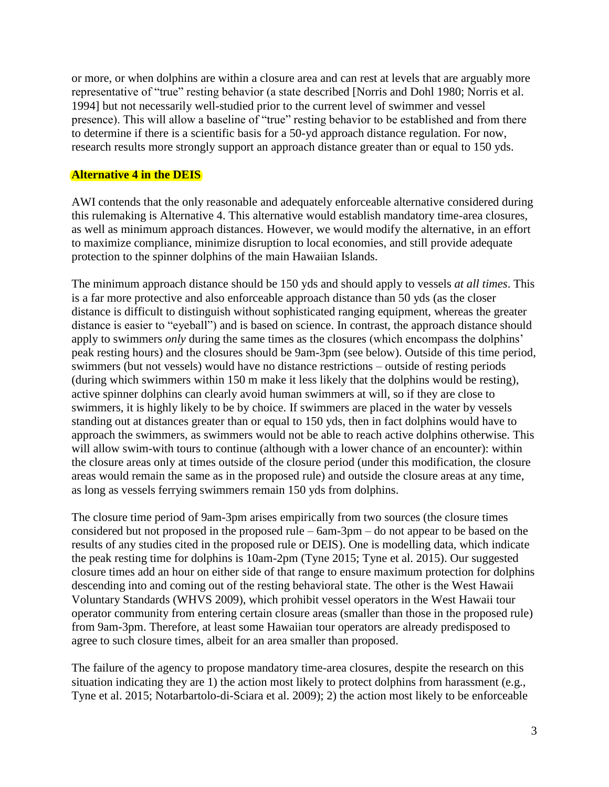or more, or when dolphins are within a closure area and can rest at levels that are arguably more representative of "true" resting behavior (a state described [Norris and Dohl 1980; Norris et al. 1994] but not necessarily well-studied prior to the current level of swimmer and vessel presence). This will allow a baseline of "true" resting behavior to be established and from there to determine if there is a scientific basis for a 50-yd approach distance regulation. For now, research results more strongly support an approach distance greater than or equal to 150 yds.

## **Alternative 4 in the DEIS**

AWI contends that the only reasonable and adequately enforceable alternative considered during this rulemaking is Alternative 4. This alternative would establish mandatory time-area closures, as well as minimum approach distances. However, we would modify the alternative, in an effort to maximize compliance, minimize disruption to local economies, and still provide adequate protection to the spinner dolphins of the main Hawaiian Islands.

The minimum approach distance should be 150 yds and should apply to vessels *at all times*. This is a far more protective and also enforceable approach distance than 50 yds (as the closer distance is difficult to distinguish without sophisticated ranging equipment, whereas the greater distance is easier to "eyeball") and is based on science. In contrast, the approach distance should apply to swimmers *only* during the same times as the closures (which encompass the dolphins' peak resting hours) and the closures should be 9am-3pm (see below). Outside of this time period, swimmers (but not vessels) would have no distance restrictions – outside of resting periods (during which swimmers within 150 m make it less likely that the dolphins would be resting), active spinner dolphins can clearly avoid human swimmers at will, so if they are close to swimmers, it is highly likely to be by choice. If swimmers are placed in the water by vessels standing out at distances greater than or equal to 150 yds, then in fact dolphins would have to approach the swimmers, as swimmers would not be able to reach active dolphins otherwise. This will allow swim-with tours to continue (although with a lower chance of an encounter): within the closure areas only at times outside of the closure period (under this modification, the closure areas would remain the same as in the proposed rule) and outside the closure areas at any time, as long as vessels ferrying swimmers remain 150 yds from dolphins.

The closure time period of 9am-3pm arises empirically from two sources (the closure times considered but not proposed in the proposed rule – 6am-3pm – do not appear to be based on the results of any studies cited in the proposed rule or DEIS). One is modelling data, which indicate the peak resting time for dolphins is 10am-2pm (Tyne 2015; Tyne et al. 2015). Our suggested closure times add an hour on either side of that range to ensure maximum protection for dolphins descending into and coming out of the resting behavioral state. The other is the West Hawaii Voluntary Standards (WHVS 2009), which prohibit vessel operators in the West Hawaii tour operator community from entering certain closure areas (smaller than those in the proposed rule) from 9am-3pm. Therefore, at least some Hawaiian tour operators are already predisposed to agree to such closure times, albeit for an area smaller than proposed.

The failure of the agency to propose mandatory time-area closures, despite the research on this situation indicating they are 1) the action most likely to protect dolphins from harassment (e.g., Tyne et al. 2015; Notarbartolo-di-Sciara et al. 2009); 2) the action most likely to be enforceable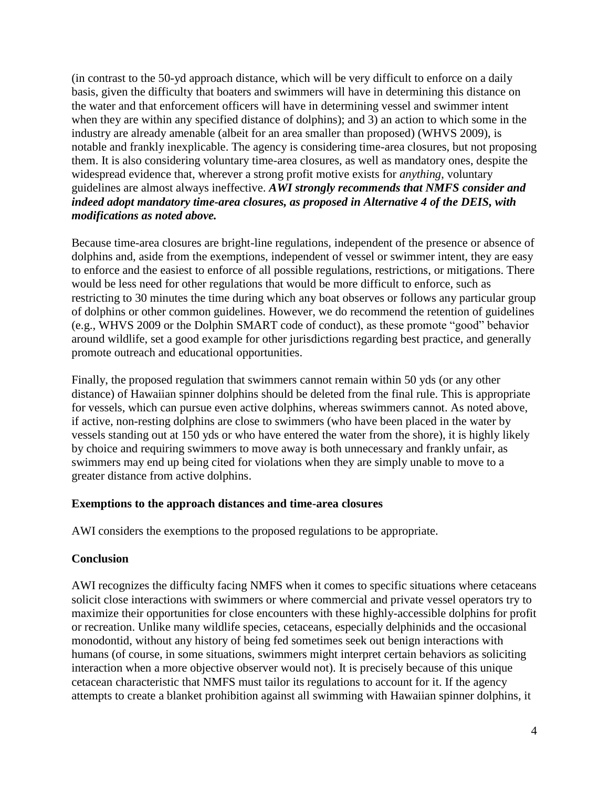(in contrast to the 50-yd approach distance, which will be very difficult to enforce on a daily basis, given the difficulty that boaters and swimmers will have in determining this distance on the water and that enforcement officers will have in determining vessel and swimmer intent when they are within any specified distance of dolphins); and 3) an action to which some in the industry are already amenable (albeit for an area smaller than proposed) (WHVS 2009), is notable and frankly inexplicable. The agency is considering time-area closures, but not proposing them. It is also considering voluntary time-area closures, as well as mandatory ones, despite the widespread evidence that, wherever a strong profit motive exists for *anything*, voluntary guidelines are almost always ineffective. *AWI strongly recommends that NMFS consider and indeed adopt mandatory time-area closures, as proposed in Alternative 4 of the DEIS, with modifications as noted above.*

Because time-area closures are bright-line regulations, independent of the presence or absence of dolphins and, aside from the exemptions, independent of vessel or swimmer intent, they are easy to enforce and the easiest to enforce of all possible regulations, restrictions, or mitigations. There would be less need for other regulations that would be more difficult to enforce, such as restricting to 30 minutes the time during which any boat observes or follows any particular group of dolphins or other common guidelines. However, we do recommend the retention of guidelines (e.g., WHVS 2009 or the Dolphin SMART code of conduct), as these promote "good" behavior around wildlife, set a good example for other jurisdictions regarding best practice, and generally promote outreach and educational opportunities.

Finally, the proposed regulation that swimmers cannot remain within 50 yds (or any other distance) of Hawaiian spinner dolphins should be deleted from the final rule. This is appropriate for vessels, which can pursue even active dolphins, whereas swimmers cannot. As noted above, if active, non-resting dolphins are close to swimmers (who have been placed in the water by vessels standing out at 150 yds or who have entered the water from the shore), it is highly likely by choice and requiring swimmers to move away is both unnecessary and frankly unfair, as swimmers may end up being cited for violations when they are simply unable to move to a greater distance from active dolphins.

## **Exemptions to the approach distances and time-area closures**

AWI considers the exemptions to the proposed regulations to be appropriate.

# **Conclusion**

AWI recognizes the difficulty facing NMFS when it comes to specific situations where cetaceans solicit close interactions with swimmers or where commercial and private vessel operators try to maximize their opportunities for close encounters with these highly-accessible dolphins for profit or recreation. Unlike many wildlife species, cetaceans, especially delphinids and the occasional monodontid, without any history of being fed sometimes seek out benign interactions with humans (of course, in some situations, swimmers might interpret certain behaviors as soliciting interaction when a more objective observer would not). It is precisely because of this unique cetacean characteristic that NMFS must tailor its regulations to account for it. If the agency attempts to create a blanket prohibition against all swimming with Hawaiian spinner dolphins, it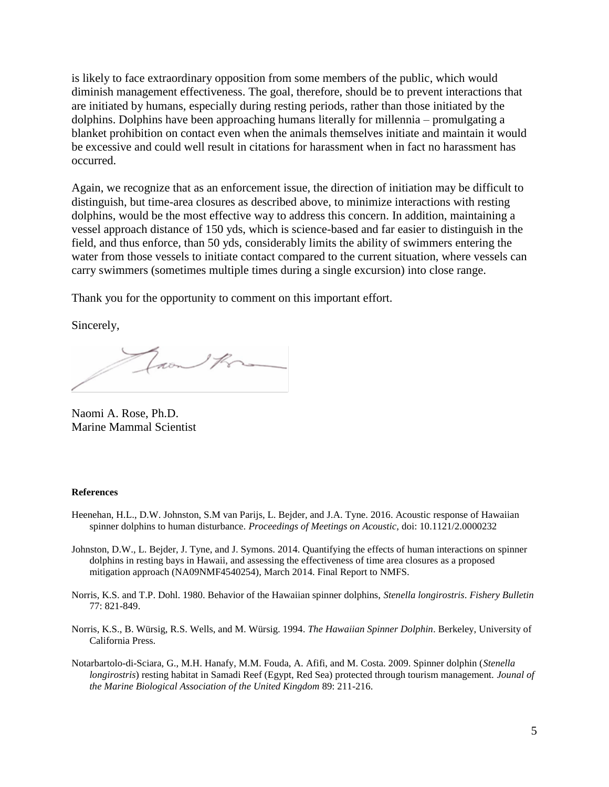is likely to face extraordinary opposition from some members of the public, which would diminish management effectiveness. The goal, therefore, should be to prevent interactions that are initiated by humans, especially during resting periods, rather than those initiated by the dolphins. Dolphins have been approaching humans literally for millennia – promulgating a blanket prohibition on contact even when the animals themselves initiate and maintain it would be excessive and could well result in citations for harassment when in fact no harassment has occurred.

Again, we recognize that as an enforcement issue, the direction of initiation may be difficult to distinguish, but time-area closures as described above, to minimize interactions with resting dolphins, would be the most effective way to address this concern. In addition, maintaining a vessel approach distance of 150 yds, which is science-based and far easier to distinguish in the field, and thus enforce, than 50 yds, considerably limits the ability of swimmers entering the water from those vessels to initiate contact compared to the current situation, where vessels can carry swimmers (sometimes multiple times during a single excursion) into close range.

Thank you for the opportunity to comment on this important effort.

Sincerely,

Jaan Kra

Naomi A. Rose, Ph.D. Marine Mammal Scientist

#### **References**

- Heenehan, H.L., D.W. Johnston, S.M van Parijs, L. Bejder, and J.A. Tyne. 2016. Acoustic response of Hawaiian spinner dolphins to human disturbance. *Proceedings of Meetings on Acoustic,* doi: 10.1121/2.0000232
- Johnston, D.W., L. Bejder, J. Tyne, and J. Symons. 2014. Quantifying the effects of human interactions on spinner dolphins in resting bays in Hawaii, and assessing the effectiveness of time area closures as a proposed mitigation approach (NA09NMF4540254), March 2014. Final Report to NMFS.
- Norris, K.S. and T.P. Dohl. 1980. Behavior of the Hawaiian spinner dolphins, *Stenella longirostris*. *Fishery Bulletin* 77: 821-849.
- Norris, K.S., B. Würsig, R.S. Wells, and M. Würsig. 1994. *The Hawaiian Spinner Dolphin*. Berkeley, University of California Press.
- Notarbartolo-di-Sciara, G., M.H. Hanafy, M.M. Fouda, A. Afifi, and M. Costa. 2009. Spinner dolphin (*Stenella longirostris*) resting habitat in Samadi Reef (Egypt, Red Sea) protected through tourism management. *Jounal of the Marine Biological Association of the United Kingdom* 89: 211-216.